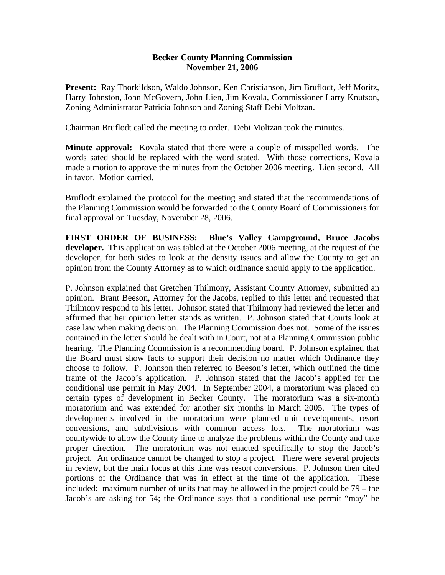## **Becker County Planning Commission November 21, 2006**

**Present:** Ray Thorkildson, Waldo Johnson, Ken Christianson, Jim Bruflodt, Jeff Moritz, Harry Johnston, John McGovern, John Lien, Jim Kovala, Commissioner Larry Knutson, Zoning Administrator Patricia Johnson and Zoning Staff Debi Moltzan.

Chairman Bruflodt called the meeting to order. Debi Moltzan took the minutes.

**Minute approval:** Kovala stated that there were a couple of misspelled words. The words sated should be replaced with the word stated. With those corrections, Kovala made a motion to approve the minutes from the October 2006 meeting. Lien second. All in favor. Motion carried.

Bruflodt explained the protocol for the meeting and stated that the recommendations of the Planning Commission would be forwarded to the County Board of Commissioners for final approval on Tuesday, November 28, 2006.

**FIRST ORDER OF BUSINESS: Blue's Valley Campground, Bruce Jacobs developer.** This application was tabled at the October 2006 meeting, at the request of the developer, for both sides to look at the density issues and allow the County to get an opinion from the County Attorney as to which ordinance should apply to the application.

P. Johnson explained that Gretchen Thilmony, Assistant County Attorney, submitted an opinion. Brant Beeson, Attorney for the Jacobs, replied to this letter and requested that Thilmony respond to his letter. Johnson stated that Thilmony had reviewed the letter and affirmed that her opinion letter stands as written. P. Johnson stated that Courts look at case law when making decision. The Planning Commission does not. Some of the issues contained in the letter should be dealt with in Court, not at a Planning Commission public hearing. The Planning Commission is a recommending board. P. Johnson explained that the Board must show facts to support their decision no matter which Ordinance they choose to follow. P. Johnson then referred to Beeson's letter, which outlined the time frame of the Jacob's application. P. Johnson stated that the Jacob's applied for the conditional use permit in May 2004. In September 2004, a moratorium was placed on certain types of development in Becker County. The moratorium was a six-month moratorium and was extended for another six months in March 2005. The types of developments involved in the moratorium were planned unit developments, resort conversions, and subdivisions with common access lots. The moratorium was countywide to allow the County time to analyze the problems within the County and take proper direction. The moratorium was not enacted specifically to stop the Jacob's project. An ordinance cannot be changed to stop a project. There were several projects in review, but the main focus at this time was resort conversions. P. Johnson then cited portions of the Ordinance that was in effect at the time of the application. These included: maximum number of units that may be allowed in the project could be 79 – the Jacob's are asking for 54; the Ordinance says that a conditional use permit "may" be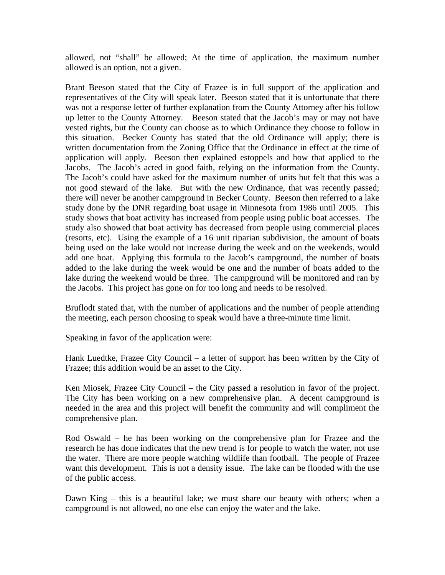allowed, not "shall" be allowed; At the time of application, the maximum number allowed is an option, not a given.

Brant Beeson stated that the City of Frazee is in full support of the application and representatives of the City will speak later. Beeson stated that it is unfortunate that there was not a response letter of further explanation from the County Attorney after his follow up letter to the County Attorney. Beeson stated that the Jacob's may or may not have vested rights, but the County can choose as to which Ordinance they choose to follow in this situation. Becker County has stated that the old Ordinance will apply; there is written documentation from the Zoning Office that the Ordinance in effect at the time of application will apply. Beeson then explained estoppels and how that applied to the Jacobs. The Jacob's acted in good faith, relying on the information from the County. The Jacob's could have asked for the maximum number of units but felt that this was a not good steward of the lake. But with the new Ordinance, that was recently passed; there will never be another campground in Becker County. Beeson then referred to a lake study done by the DNR regarding boat usage in Minnesota from 1986 until 2005. This study shows that boat activity has increased from people using public boat accesses. The study also showed that boat activity has decreased from people using commercial places (resorts, etc). Using the example of a 16 unit riparian subdivision, the amount of boats being used on the lake would not increase during the week and on the weekends, would add one boat. Applying this formula to the Jacob's campground, the number of boats added to the lake during the week would be one and the number of boats added to the lake during the weekend would be three. The campground will be monitored and ran by the Jacobs. This project has gone on for too long and needs to be resolved.

Bruflodt stated that, with the number of applications and the number of people attending the meeting, each person choosing to speak would have a three-minute time limit.

Speaking in favor of the application were:

Hank Luedtke, Frazee City Council – a letter of support has been written by the City of Frazee; this addition would be an asset to the City.

Ken Miosek, Frazee City Council – the City passed a resolution in favor of the project. The City has been working on a new comprehensive plan. A decent campground is needed in the area and this project will benefit the community and will compliment the comprehensive plan.

Rod Oswald – he has been working on the comprehensive plan for Frazee and the research he has done indicates that the new trend is for people to watch the water, not use the water. There are more people watching wildlife than football. The people of Frazee want this development. This is not a density issue. The lake can be flooded with the use of the public access.

Dawn King – this is a beautiful lake; we must share our beauty with others; when a campground is not allowed, no one else can enjoy the water and the lake.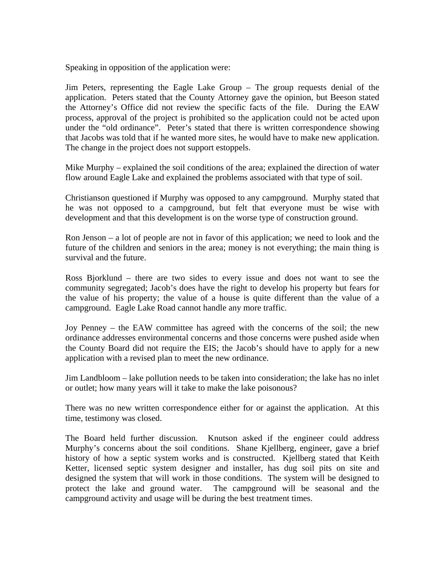Speaking in opposition of the application were:

Jim Peters, representing the Eagle Lake Group – The group requests denial of the application. Peters stated that the County Attorney gave the opinion, but Beeson stated the Attorney's Office did not review the specific facts of the file. During the EAW process, approval of the project is prohibited so the application could not be acted upon under the "old ordinance". Peter's stated that there is written correspondence showing that Jacobs was told that if he wanted more sites, he would have to make new application. The change in the project does not support estoppels.

Mike Murphy – explained the soil conditions of the area; explained the direction of water flow around Eagle Lake and explained the problems associated with that type of soil.

Christianson questioned if Murphy was opposed to any campground. Murphy stated that he was not opposed to a campground, but felt that everyone must be wise with development and that this development is on the worse type of construction ground.

Ron Jenson – a lot of people are not in favor of this application; we need to look and the future of the children and seniors in the area; money is not everything; the main thing is survival and the future.

Ross Bjorklund – there are two sides to every issue and does not want to see the community segregated; Jacob's does have the right to develop his property but fears for the value of his property; the value of a house is quite different than the value of a campground. Eagle Lake Road cannot handle any more traffic.

Joy Penney – the EAW committee has agreed with the concerns of the soil; the new ordinance addresses environmental concerns and those concerns were pushed aside when the County Board did not require the EIS; the Jacob's should have to apply for a new application with a revised plan to meet the new ordinance.

Jim Landbloom – lake pollution needs to be taken into consideration; the lake has no inlet or outlet; how many years will it take to make the lake poisonous?

There was no new written correspondence either for or against the application. At this time, testimony was closed.

The Board held further discussion. Knutson asked if the engineer could address Murphy's concerns about the soil conditions. Shane Kjellberg, engineer, gave a brief history of how a septic system works and is constructed. Kjellberg stated that Keith Ketter, licensed septic system designer and installer, has dug soil pits on site and designed the system that will work in those conditions. The system will be designed to protect the lake and ground water. The campground will be seasonal and the campground activity and usage will be during the best treatment times.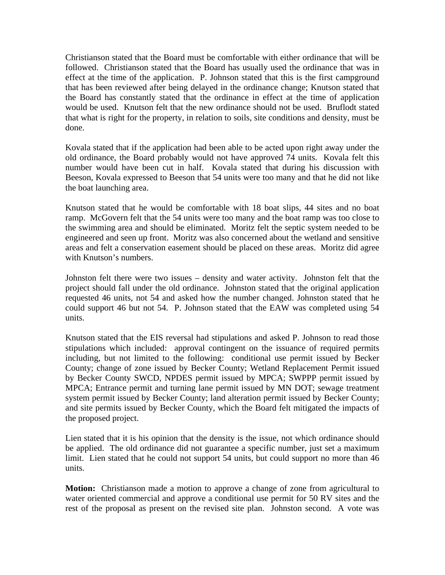Christianson stated that the Board must be comfortable with either ordinance that will be followed. Christianson stated that the Board has usually used the ordinance that was in effect at the time of the application. P. Johnson stated that this is the first campground that has been reviewed after being delayed in the ordinance change; Knutson stated that the Board has constantly stated that the ordinance in effect at the time of application would be used. Knutson felt that the new ordinance should not be used. Bruflodt stated that what is right for the property, in relation to soils, site conditions and density, must be done.

Kovala stated that if the application had been able to be acted upon right away under the old ordinance, the Board probably would not have approved 74 units. Kovala felt this number would have been cut in half. Kovala stated that during his discussion with Beeson, Kovala expressed to Beeson that 54 units were too many and that he did not like the boat launching area.

Knutson stated that he would be comfortable with 18 boat slips, 44 sites and no boat ramp. McGovern felt that the 54 units were too many and the boat ramp was too close to the swimming area and should be eliminated. Moritz felt the septic system needed to be engineered and seen up front. Moritz was also concerned about the wetland and sensitive areas and felt a conservation easement should be placed on these areas. Moritz did agree with Knutson's numbers.

Johnston felt there were two issues – density and water activity. Johnston felt that the project should fall under the old ordinance. Johnston stated that the original application requested 46 units, not 54 and asked how the number changed. Johnston stated that he could support 46 but not 54. P. Johnson stated that the EAW was completed using 54 units.

Knutson stated that the EIS reversal had stipulations and asked P. Johnson to read those stipulations which included: approval contingent on the issuance of required permits including, but not limited to the following: conditional use permit issued by Becker County; change of zone issued by Becker County; Wetland Replacement Permit issued by Becker County SWCD, NPDES permit issued by MPCA; SWPPP permit issued by MPCA; Entrance permit and turning lane permit issued by MN DOT; sewage treatment system permit issued by Becker County; land alteration permit issued by Becker County; and site permits issued by Becker County, which the Board felt mitigated the impacts of the proposed project.

Lien stated that it is his opinion that the density is the issue, not which ordinance should be applied. The old ordinance did not guarantee a specific number, just set a maximum limit. Lien stated that he could not support 54 units, but could support no more than 46 units.

**Motion:** Christianson made a motion to approve a change of zone from agricultural to water oriented commercial and approve a conditional use permit for 50 RV sites and the rest of the proposal as present on the revised site plan. Johnston second. A vote was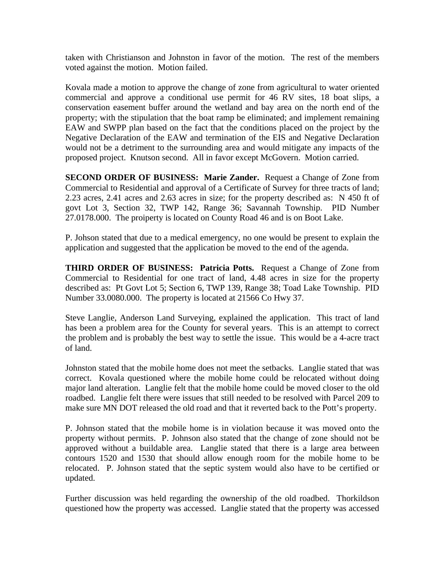taken with Christianson and Johnston in favor of the motion. The rest of the members voted against the motion. Motion failed.

Kovala made a motion to approve the change of zone from agricultural to water oriented commercial and approve a conditional use permit for 46 RV sites, 18 boat slips, a conservation easement buffer around the wetland and bay area on the north end of the property; with the stipulation that the boat ramp be eliminated; and implement remaining EAW and SWPP plan based on the fact that the conditions placed on the project by the Negative Declaration of the EAW and termination of the EIS and Negative Declaration would not be a detriment to the surrounding area and would mitigate any impacts of the proposed project. Knutson second. All in favor except McGovern. Motion carried.

**SECOND ORDER OF BUSINESS: Marie Zander.** Request a Change of Zone from Commercial to Residential and approval of a Certificate of Survey for three tracts of land; 2.23 acres, 2.41 acres and 2.63 acres in size; for the property described as: N 450 ft of govt Lot 3, Section 32, TWP 142, Range 36; Savannah Township. PID Number 27.0178.000. The proiperty is located on County Road 46 and is on Boot Lake.

P. Johson stated that due to a medical emergency, no one would be present to explain the application and suggested that the application be moved to the end of the agenda.

**THIRD ORDER OF BUSINESS: Patricia Potts.** Request a Change of Zone from Commercial to Residential for one tract of land, 4.48 acres in size for the property described as: Pt Govt Lot 5; Section 6, TWP 139, Range 38; Toad Lake Township. PID Number 33.0080.000. The property is located at 21566 Co Hwy 37.

Steve Langlie, Anderson Land Surveying, explained the application. This tract of land has been a problem area for the County for several years. This is an attempt to correct the problem and is probably the best way to settle the issue. This would be a 4-acre tract of land.

Johnston stated that the mobile home does not meet the setbacks. Langlie stated that was correct. Kovala questioned where the mobile home could be relocated without doing major land alteration. Langlie felt that the mobile home could be moved closer to the old roadbed. Langlie felt there were issues that still needed to be resolved with Parcel 209 to make sure MN DOT released the old road and that it reverted back to the Pott's property.

P. Johnson stated that the mobile home is in violation because it was moved onto the property without permits. P. Johnson also stated that the change of zone should not be approved without a buildable area. Langlie stated that there is a large area between contours 1520 and 1530 that should allow enough room for the mobile home to be relocated. P. Johnson stated that the septic system would also have to be certified or updated.

Further discussion was held regarding the ownership of the old roadbed. Thorkildson questioned how the property was accessed. Langlie stated that the property was accessed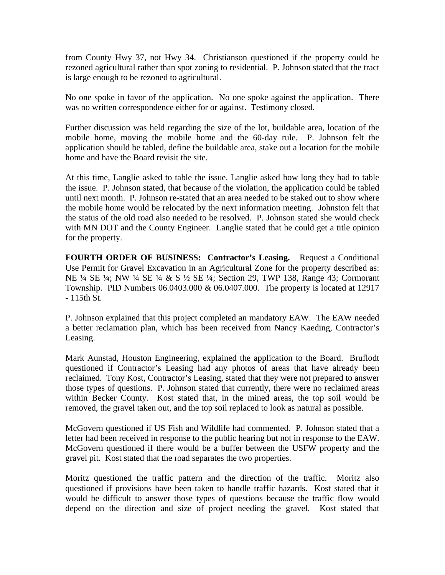from County Hwy 37, not Hwy 34. Christianson questioned if the property could be rezoned agricultural rather than spot zoning to residential. P. Johnson stated that the tract is large enough to be rezoned to agricultural.

No one spoke in favor of the application. No one spoke against the application. There was no written correspondence either for or against. Testimony closed.

Further discussion was held regarding the size of the lot, buildable area, location of the mobile home, moving the mobile home and the 60-day rule. P. Johnson felt the application should be tabled, define the buildable area, stake out a location for the mobile home and have the Board revisit the site.

At this time, Langlie asked to table the issue. Langlie asked how long they had to table the issue. P. Johnson stated, that because of the violation, the application could be tabled until next month. P. Johnson re-stated that an area needed to be staked out to show where the mobile home would be relocated by the next information meeting. Johnston felt that the status of the old road also needed to be resolved. P. Johnson stated she would check with MN DOT and the County Engineer. Langlie stated that he could get a title opinion for the property.

**FOURTH ORDER OF BUSINESS: Contractor's Leasing.** Request a Conditional Use Permit for Gravel Excavation in an Agricultural Zone for the property described as: NE ¼ SE ¼; NW ¼ SE ¼ & S ½ SE ¼; Section 29, TWP 138, Range 43; Cormorant Township. PID Numbers 06.0403.000 & 06.0407.000. The property is located at 12917 - 115th St.

P. Johnson explained that this project completed an mandatory EAW. The EAW needed a better reclamation plan, which has been received from Nancy Kaeding, Contractor's Leasing.

Mark Aunstad, Houston Engineering, explained the application to the Board. Bruflodt questioned if Contractor's Leasing had any photos of areas that have already been reclaimed. Tony Kost, Contractor's Leasing, stated that they were not prepared to answer those types of questions. P. Johnson stated that currently, there were no reclaimed areas within Becker County. Kost stated that, in the mined areas, the top soil would be removed, the gravel taken out, and the top soil replaced to look as natural as possible.

McGovern questioned if US Fish and Wildlife had commented. P. Johnson stated that a letter had been received in response to the public hearing but not in response to the EAW. McGovern questioned if there would be a buffer between the USFW property and the gravel pit. Kost stated that the road separates the two properties.

Moritz questioned the traffic pattern and the direction of the traffic. Moritz also questioned if provisions have been taken to handle traffic hazards. Kost stated that it would be difficult to answer those types of questions because the traffic flow would depend on the direction and size of project needing the gravel. Kost stated that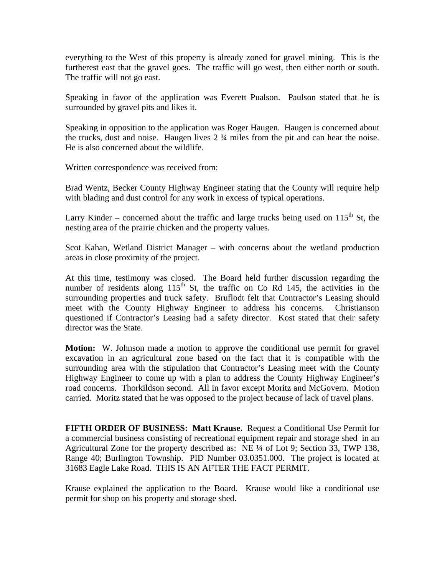everything to the West of this property is already zoned for gravel mining. This is the furtherest east that the gravel goes. The traffic will go west, then either north or south. The traffic will not go east.

Speaking in favor of the application was Everett Pualson. Paulson stated that he is surrounded by gravel pits and likes it.

Speaking in opposition to the application was Roger Haugen. Haugen is concerned about the trucks, dust and noise. Haugen lives 2 ¾ miles from the pit and can hear the noise. He is also concerned about the wildlife.

Written correspondence was received from:

Brad Wentz, Becker County Highway Engineer stating that the County will require help with blading and dust control for any work in excess of typical operations.

Larry Kinder – concerned about the traffic and large trucks being used on  $115<sup>th</sup>$  St, the nesting area of the prairie chicken and the property values.

Scot Kahan, Wetland District Manager – with concerns about the wetland production areas in close proximity of the project.

At this time, testimony was closed. The Board held further discussion regarding the number of residents along  $115<sup>th</sup>$  St, the traffic on Co Rd 145, the activities in the surrounding properties and truck safety. Bruflodt felt that Contractor's Leasing should meet with the County Highway Engineer to address his concerns. Christianson questioned if Contractor's Leasing had a safety director. Kost stated that their safety director was the State.

**Motion:** W. Johnson made a motion to approve the conditional use permit for gravel excavation in an agricultural zone based on the fact that it is compatible with the surrounding area with the stipulation that Contractor's Leasing meet with the County Highway Engineer to come up with a plan to address the County Highway Engineer's road concerns. Thorkildson second. All in favor except Moritz and McGovern. Motion carried. Moritz stated that he was opposed to the project because of lack of travel plans.

**FIFTH ORDER OF BUSINESS: Matt Krause.** Request a Conditional Use Permit for a commercial business consisting of recreational equipment repair and storage shed in an Agricultural Zone for the property described as: NE ¼ of Lot 9; Section 33, TWP 138, Range 40; Burlington Township. PID Number 03.0351.000. The project is located at 31683 Eagle Lake Road. THIS IS AN AFTER THE FACT PERMIT.

Krause explained the application to the Board. Krause would like a conditional use permit for shop on his property and storage shed.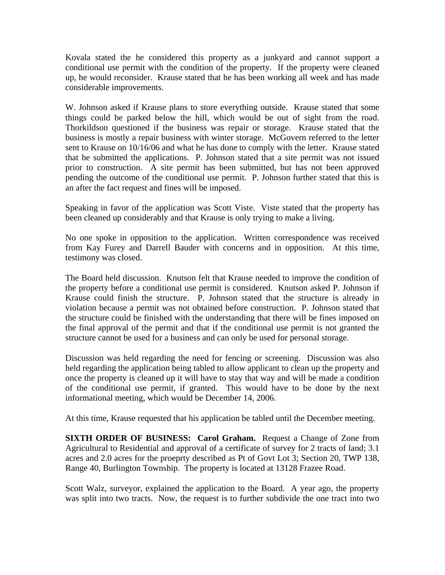Kovala stated the he considered this property as a junkyard and cannot support a conditional use permit with the condition of the property. If the property were cleaned up, he would reconsider. Krause stated that he has been working all week and has made considerable improvements.

W. Johnson asked if Krause plans to store everything outside. Krause stated that some things could be parked below the hill, which would be out of sight from the road. Thorkildson questioned if the business was repair or storage. Krause stated that the business is mostly a repair business with winter storage. McGovern referred to the letter sent to Krause on 10/16/06 and what he has done to comply with the letter. Krause stated that he submitted the applications. P. Johnson stated that a site permit was not issued prior to construction. A site permit has been submitted, but has not been approved pending the outcome of the conditional use permit. P. Johnson further stated that this is an after the fact request and fines will be imposed.

Speaking in favor of the application was Scott Viste. Viste stated that the property has been cleaned up considerably and that Krause is only trying to make a living.

No one spoke in opposition to the application. Written correspondence was received from Kay Furey and Darrell Bauder with concerns and in opposition. At this time, testimony was closed.

The Board held discussion. Knutson felt that Krause needed to improve the condition of the property before a conditional use permit is considered. Knutson asked P. Johnson if Krause could finish the structure. P. Johnson stated that the structure is already in violation because a permit was not obtained before construction. P. Johnson stated that the structure could be finished with the understanding that there will be fines imposed on the final approval of the permit and that if the conditional use permit is not granted the structure cannot be used for a business and can only be used for personal storage.

Discussion was held regarding the need for fencing or screening. Discussion was also held regarding the application being tabled to allow applicant to clean up the property and once the property is cleaned up it will have to stay that way and will be made a condition of the conditional use permit, if granted. This would have to be done by the next informational meeting, which would be December 14, 2006.

At this time, Krause requested that his application be tabled until the December meeting.

**SIXTH ORDER OF BUSINESS: Carol Graham.** Request a Change of Zone from Agricultural to Residential and approval of a certificate of survey for 2 tracts of land; 3.1 acres and 2.0 acres for the proeprty described as Pt of Govt Lot 3; Section 20, TWP 138, Range 40, Burlington Township. The property is located at 13128 Frazee Road.

Scott Walz, surveyor, explained the application to the Board. A year ago, the property was split into two tracts. Now, the request is to further subdivide the one tract into two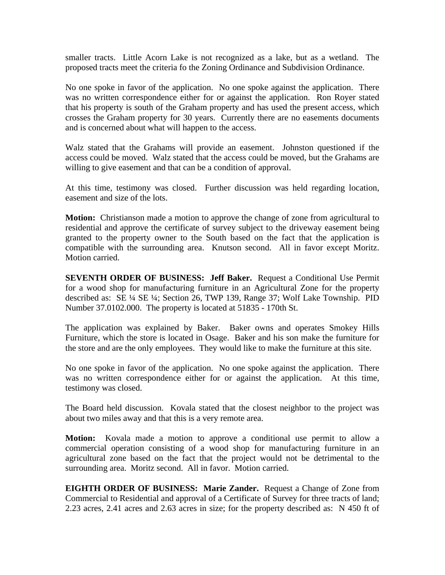smaller tracts. Little Acorn Lake is not recognized as a lake, but as a wetland. The proposed tracts meet the criteria fo the Zoning Ordinance and Subdivision Ordinance.

No one spoke in favor of the application. No one spoke against the application. There was no written correspondence either for or against the application. Ron Royer stated that his property is south of the Graham property and has used the present access, which crosses the Graham property for 30 years. Currently there are no easements documents and is concerned about what will happen to the access.

Walz stated that the Grahams will provide an easement. Johnston questioned if the access could be moved. Walz stated that the access could be moved, but the Grahams are willing to give easement and that can be a condition of approval.

At this time, testimony was closed. Further discussion was held regarding location, easement and size of the lots.

**Motion:** Christianson made a motion to approve the change of zone from agricultural to residential and approve the certificate of survey subject to the driveway easement being granted to the property owner to the South based on the fact that the application is compatible with the surrounding area. Knutson second. All in favor except Moritz. Motion carried.

**SEVENTH ORDER OF BUSINESS: Jeff Baker.** Request a Conditional Use Permit for a wood shop for manufacturing furniture in an Agricultural Zone for the property described as: SE ¼ SE ¼; Section 26, TWP 139, Range 37; Wolf Lake Township. PID Number 37.0102.000. The property is located at 51835 - 170th St.

The application was explained by Baker. Baker owns and operates Smokey Hills Furniture, which the store is located in Osage. Baker and his son make the furniture for the store and are the only employees. They would like to make the furniture at this site.

No one spoke in favor of the application. No one spoke against the application. There was no written correspondence either for or against the application. At this time, testimony was closed.

The Board held discussion. Kovala stated that the closest neighbor to the project was about two miles away and that this is a very remote area.

**Motion:** Kovala made a motion to approve a conditional use permit to allow a commercial operation consisting of a wood shop for manufacturing furniture in an agricultural zone based on the fact that the project would not be detrimental to the surrounding area. Moritz second. All in favor. Motion carried.

**EIGHTH ORDER OF BUSINESS: Marie Zander.** Request a Change of Zone from Commercial to Residential and approval of a Certificate of Survey for three tracts of land; 2.23 acres, 2.41 acres and 2.63 acres in size; for the property described as: N 450 ft of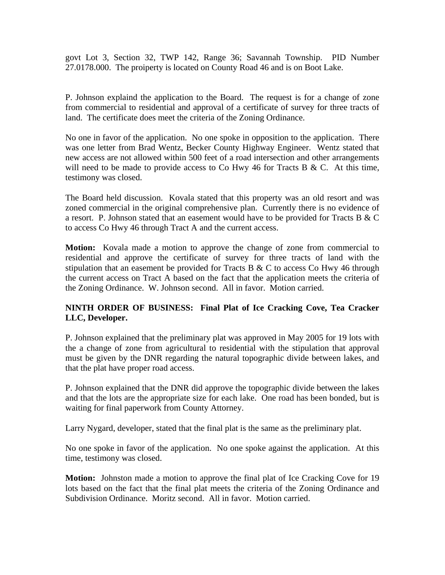govt Lot 3, Section 32, TWP 142, Range 36; Savannah Township. PID Number 27.0178.000. The proiperty is located on County Road 46 and is on Boot Lake.

P. Johnson explaind the application to the Board. The request is for a change of zone from commercial to residential and approval of a certificate of survey for three tracts of land. The certificate does meet the criteria of the Zoning Ordinance.

No one in favor of the application. No one spoke in opposition to the application. There was one letter from Brad Wentz, Becker County Highway Engineer. Wentz stated that new access are not allowed within 500 feet of a road intersection and other arrangements will need to be made to provide access to Co Hwy 46 for Tracts B & C. At this time, testimony was closed.

The Board held discussion. Kovala stated that this property was an old resort and was zoned commercial in the original comprehensive plan. Currently there is no evidence of a resort. P. Johnson stated that an easement would have to be provided for Tracts B  $&$  C to access Co Hwy 46 through Tract A and the current access.

**Motion:** Kovala made a motion to approve the change of zone from commercial to residential and approve the certificate of survey for three tracts of land with the stipulation that an easement be provided for Tracts B  $\&$  C to access Co Hwy 46 through the current access on Tract A based on the fact that the application meets the criteria of the Zoning Ordinance. W. Johnson second. All in favor. Motion carried.

## **NINTH ORDER OF BUSINESS: Final Plat of Ice Cracking Cove, Tea Cracker LLC, Developer.**

P. Johnson explained that the preliminary plat was approved in May 2005 for 19 lots with the a change of zone from agricultural to residential with the stipulation that approval must be given by the DNR regarding the natural topographic divide between lakes, and that the plat have proper road access.

P. Johnson explained that the DNR did approve the topographic divide between the lakes and that the lots are the appropriate size for each lake. One road has been bonded, but is waiting for final paperwork from County Attorney.

Larry Nygard, developer, stated that the final plat is the same as the preliminary plat.

No one spoke in favor of the application. No one spoke against the application. At this time, testimony was closed.

**Motion:** Johnston made a motion to approve the final plat of Ice Cracking Cove for 19 lots based on the fact that the final plat meets the criteria of the Zoning Ordinance and Subdivision Ordinance. Moritz second. All in favor. Motion carried.